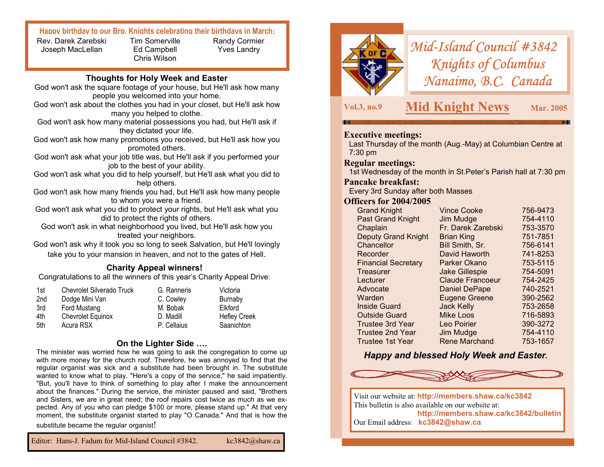#### **Happy birthday to our Bro. Knights celebrating their birthdays in March:**

Rev. Darek Zarebski Joseph MacLellan

Tim Somerville Ed Campbell Chris Wilson

Randy Cormier Yves Landry

# **Thoughts for Holy Week and Easter**

- God won't ask the square footage of your house, but He'll ask how many people you welcomed into your home.
- God won't ask about the clothes you had in your closet, but He'll ask how many you helped to clothe.
- God won't ask how many material possessions you had, but He'll ask if they dictated your life.
- God won't ask how many promotions you received, but He'll ask how you promoted others.
- God won't ask what your job title was, but He'll ask if you performed your job to the best of your ability.
- God won't ask what you did to help yourself, but He'll ask what you did to help others.

God won't ask how many friends you had, but He'll ask how many people to whom you were a friend.

- God won't ask what you did to protect your rights, but He'll ask what you did to protect the rights of others.
	- God won't ask in what neighborhood you lived, but He'll ask how you treated your neighbors.
- God won't ask why it took you so long to seek Salvation, but He'll lovingly take you to your mansion in heaven, and not to the gates of Hell.

# **Charity Appeal winners!**

Congratulations to all the winners of this year's Charity Appeal Drive:

| 1st | <b>Chevrolet Silverado Truck</b> | G. Ranneris | Victoria            |
|-----|----------------------------------|-------------|---------------------|
| 2nd | Dodge Mini Van                   | C. Cowley   | Burnaby             |
| 3rd | Ford Mustang                     | M. Bobak    | Elkford             |
| 4th | <b>Chevrolet Equinox</b>         | D. Madill   | <b>Hefley Creek</b> |
| 5th | Acura RSX                        | P. Cellaius | Saanichton          |

# **On the Lighter Side ….**

The minister was worried how he was going to ask the congregation to come up with more money for the church roof. Therefore, he was annoyed to find that the regular organist was sick and a substitute had been brought in. The substitute wanted to know what to play. "Here's a copy of the service," he said impatiently. "But, you'll have to think of something to play after I make the announcement about the finances." During the service, the minister paused and said, "Brothers and Sisters, we are in great need; the roof repairs cost twice as much as we expected. Any of you who can pledge \$100 or more, please stand up." At that very moment, the substitute organist started to play "O Canada." And that is how the substitute became the regular organist!

Editor: Hans-J. Fadum for Mid-Island Council #3842. kc3842@shaw.ca



# *Mid-Island Council #3842 Knights of Columbus Nanaimo, B.C. Canada*

# **Vol.3, no.9 Mid Knight News Mar. 2005**

#### **Executive meetings:**

Last Thursday of the month (Aug.-May) at Columbian Centre at 7:30 pm

#### **Regular meetings:**

1st Wednesday of the month in St.Peter's Parish hall at 7:30 pm

#### **Pancake breakfast:**

Every 3rd Sunday after both Masses

#### **Officers for 2004/2005**

| <b>Grand Knight</b>        | <b>Vince Cooke</b>      | 756-9473 |
|----------------------------|-------------------------|----------|
| <b>Past Grand Knight</b>   | Jim Mudge               | 754-4110 |
| Chaplain                   | Fr. Darek Zarebski      | 753-3570 |
| <b>Deputy Grand Knight</b> | <b>Brian King</b>       | 751-7851 |
| Chancellor                 | Bill Smith, Sr.         | 756-6141 |
| Recorder                   | David Haworth           | 741-8253 |
| <b>Financial Secretary</b> | Parker Okano            | 753-5115 |
| Treasurer                  | <b>Jake Gillespie</b>   | 754-5091 |
| Lecturer                   | <b>Claude Francoeur</b> | 754-2425 |
| Advocate                   | <b>Daniel DePape</b>    | 740-2521 |
| Warden                     | <b>Eugene Greene</b>    | 390-2562 |
| Inside Guard               | <b>Jack Kelly</b>       | 753-2658 |
| <b>Outside Guard</b>       | <b>Mike Loos</b>        | 716-5893 |
| <b>Trustee 3rd Year</b>    | Leo Poirier             | 390-3272 |
| <b>Trustee 2nd Year</b>    | Jim Mudge               | 754-4110 |
| Trustee 1st Year           | <b>Rene Marchand</b>    | 753-1657 |

# *Happy and blessed Holy Week and Easter***.**



Visit our website at: **http://members.shaw.ca/kc3842**  This bulletin is also available on our website at: **http://members.shaw.ca/kc3842/bulletin**  Our Email address: **kc3842@shaw.ca**